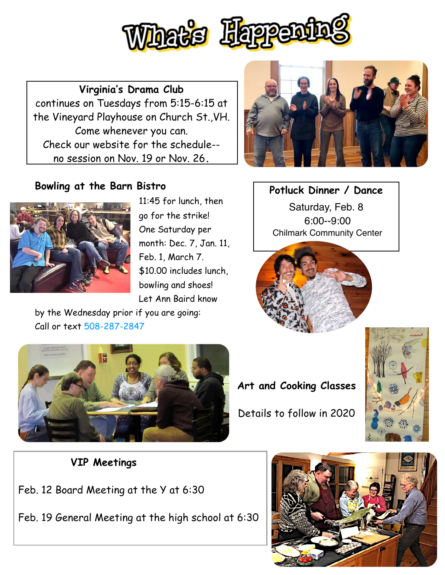

**Virginia's Drama Club**  continues on Tuesdays from 5:15-6:15 at the Vineyard Playhouse on Church St.,VH. Come whenever you can. Check our website for the schedule- no session on Nov. 19 or Nov. 26**.**

## **Bowling at the Barn Bistro**



11:45 for lunch, then go for the strike! One Saturday per month: Dec. 7, Jan. 11, Feb. 1, March 7. \$10.00 includes lunch, bowling and shoes! Let Ann Baird know

by the Wednesday prior if you are going: Call or text 508-287-2847



**Potluck Dinner / Dance**

Saturday, Feb. 8 6:00--9:00 Chilmark Community Center





**Art and Cooking Classes**  Details to follow in 2020



## **VIP Meetings**

Feb. 12 Board Meeting at the Y at 6:30

Feb. 19 General Meeting at the high school at 6:30